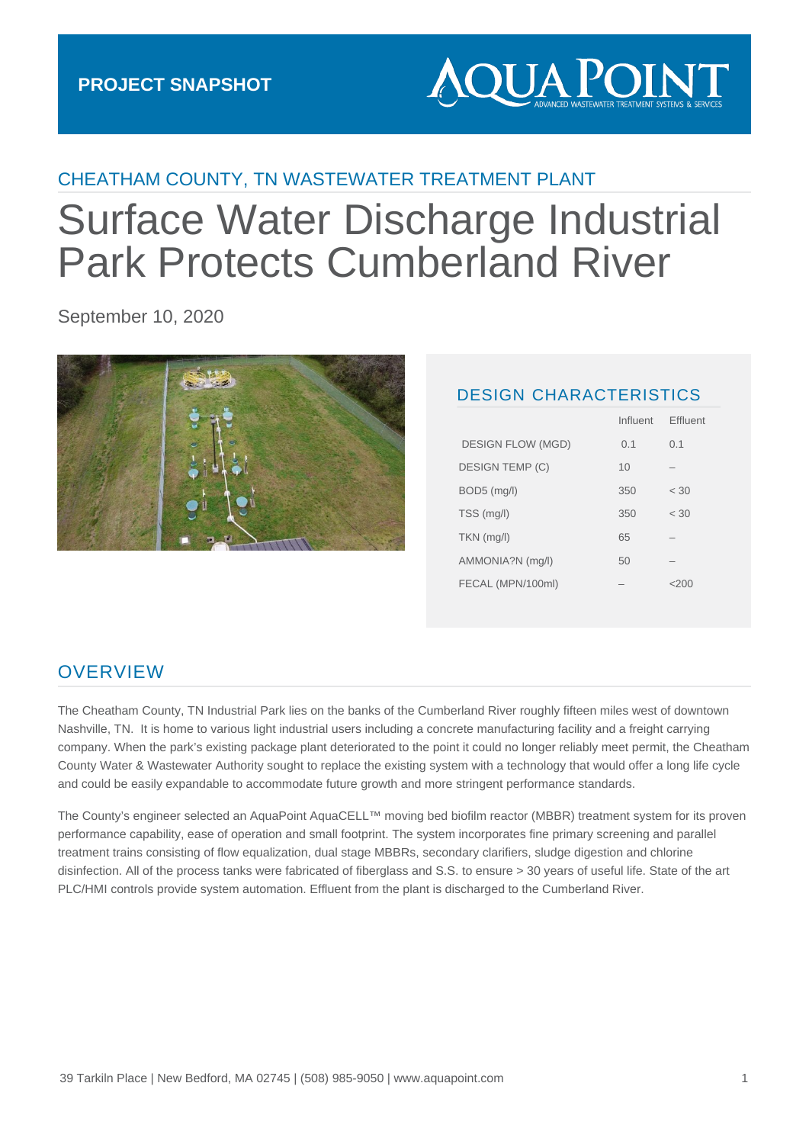# **AQUA POINT**

# CHEATHAM COUNTY, TN WASTEWATER TREATMENT PLANT

# Surface Water Discharge Industrial Park Protects Cumberland River

September 10, 2020



#### DESIGN CHARACTERISTICS

|                          | Influent | Effluent |
|--------------------------|----------|----------|
| <b>DESIGN FLOW (MGD)</b> | 0.1      | 0.1      |
| DESIGN TEMP (C)          | 10       |          |
| BOD5 (mg/l)              | 350      | < 30     |
| TSS (mg/l)               | 350      | < 30     |
| $TKN$ (mg/l)             | 65       |          |
| AMMONIA?N (mg/l)         | 50       |          |
| FECAL (MPN/100ml)        |          | <ン( )( ) |
|                          |          |          |

### **OVERVIEW**

The Cheatham County, TN Industrial Park lies on the banks of the Cumberland River roughly fifteen miles west of downtown Nashville, TN. It is home to various light industrial users including a concrete manufacturing facility and a freight carrying company. When the park's existing package plant deteriorated to the point it could no longer reliably meet permit, the Cheatham County Water & Wastewater Authority sought to replace the existing system with a technology that would offer a long life cycle and could be easily expandable to accommodate future growth and more stringent performance standards.

The County's engineer selected an AquaPoint AquaCELL™ moving bed biofilm reactor (MBBR) treatment system for its proven performance capability, ease of operation and small footprint. The system incorporates fine primary screening and parallel treatment trains consisting of flow equalization, dual stage MBBRs, secondary clarifiers, sludge digestion and chlorine disinfection. All of the process tanks were fabricated of fiberglass and S.S. to ensure > 30 years of useful life. State of the art PLC/HMI controls provide system automation. Effluent from the plant is discharged to the Cumberland River.